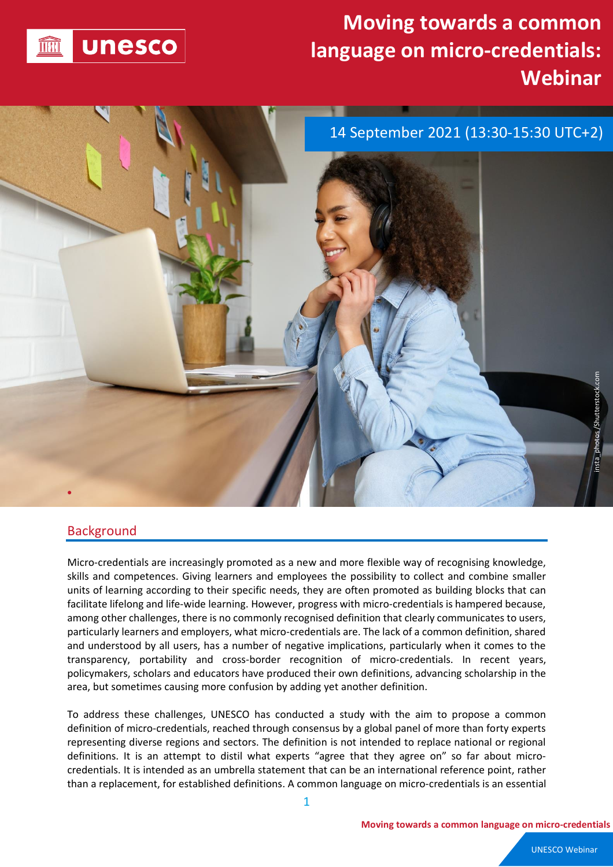

## na international entitation de la comunicación de la comunicación de la comunicación de la comunicación de la <br>Descripción de la comunicación de la comunicación de la comunicación de la comunicación de la comunicación de **Moving towards a common language on micro-credentials: Webinar**



## **Background**

Micro-credentials are increasingly promoted as a new and more flexible way of recognising knowledge, skills and competences. Giving learners and employees the possibility to collect and combine smaller units of learning according to their specific needs, they are often promoted as building blocks that can facilitate lifelong and life-wide learning. However, progress with micro-credentials is hampered because, among other challenges, there is no commonly recognised definition that clearly communicates to users, particularly learners and employers, what micro-credentials are. The lack of a common definition, shared and understood by all users, has a number of negative implications, particularly when it comes to the transparency, portability and cross-border recognition of micro-credentials. In recent years, policymakers, scholars and educators have produced their own definitions, advancing scholarship in the area, but sometimes causing more confusion by adding yet another definition.

To address these challenges, UNESCO has conducted a study with the aim to propose a common definition of micro-credentials, reached through consensus by a global panel of more than forty experts representing diverse regions and sectors. The definition is not intended to replace national or regional definitions. It is an attempt to distil what experts "agree that they agree on" so far about microcredentials. It is intended as an umbrella statement that can be an international reference point, rather than a replacement, for established definitions. A common language on micro-credentials is an essential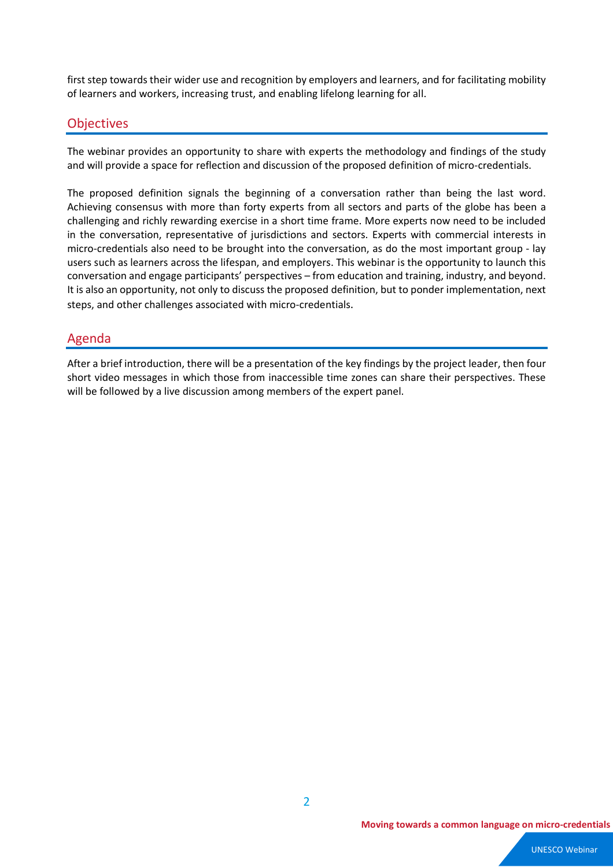first step towards their wider use and recognition by employers and learners, and for facilitating mobility of learners and workers, increasing trust, and enabling lifelong learning for all.

## **Objectives**

The webinar provides an opportunity to share with experts the methodology and findings of the study and will provide a space for reflection and discussion of the proposed definition of micro-credentials.

The proposed definition signals the beginning of a conversation rather than being the last word. Achieving consensus with more than forty experts from all sectors and parts of the globe has been a challenging and richly rewarding exercise in a short time frame. More experts now need to be included in the conversation, representative of jurisdictions and sectors. Experts with commercial interests in micro-credentials also need to be brought into the conversation, as do the most important group - lay users such as learners across the lifespan, and employers. This webinar is the opportunity to launch this conversation and engage participants' perspectives – from education and training, industry, and beyond. It is also an opportunity, not only to discuss the proposed definition, but to ponder implementation, next steps, and other challenges associated with micro-credentials.

## Agenda

After a brief introduction, there will be a presentation of the key findings by the project leader, then four short video messages in which those from inaccessible time zones can share their perspectives. These will be followed by a live discussion among members of the expert panel.